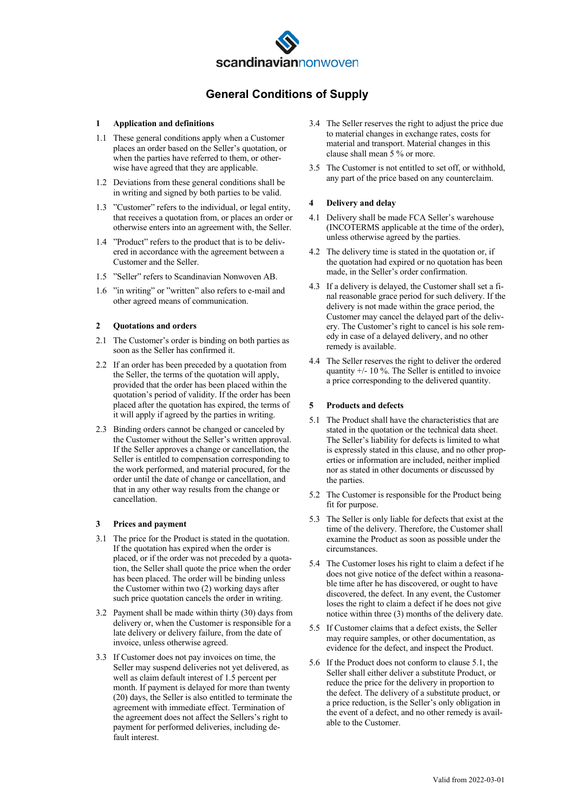

# **General Conditions of Supply**

#### **1 Application and definitions**

- 1.1 These general conditions apply when a Customer places an order based on the Seller's quotation, or when the parties have referred to them, or otherwise have agreed that they are applicable.
- 1.2 Deviations from these general conditions shall be in writing and signed by both parties to be valid.
- 1.3 "Customer" refers to the individual, or legal entity, that receives a quotation from, or places an order or otherwise enters into an agreement with, the Seller.
- 1.4 "Product" refers to the product that is to be delivered in accordance with the agreement between a Customer and the Seller.
- 1.5 "Seller" refers to Scandinavian Nonwoven AB.
- 1.6 "in writing" or "written" also refers to e-mail and other agreed means of communication.

#### **2 Quotations and orders**

- 2.1 The Customer's order is binding on both parties as soon as the Seller has confirmed it.
- 2.2 If an order has been preceded by a quotation from the Seller, the terms of the quotation will apply, provided that the order has been placed within the quotation's period of validity. If the order has been placed after the quotation has expired, the terms of it will apply if agreed by the parties in writing.
- 2.3 Binding orders cannot be changed or canceled by the Customer without the Seller's written approval. If the Seller approves a change or cancellation, the Seller is entitled to compensation corresponding to the work performed, and material procured, for the order until the date of change or cancellation, and that in any other way results from the change or cancellation.

# **3 Prices and payment**

- 3.1 The price for the Product is stated in the quotation. If the quotation has expired when the order is placed, or if the order was not preceded by a quotation, the Seller shall quote the price when the order has been placed. The order will be binding unless the Customer within two (2) working days after such price quotation cancels the order in writing.
- 3.2 Payment shall be made within thirty (30) days from delivery or, when the Customer is responsible for a late delivery or delivery failure, from the date of invoice, unless otherwise agreed.
- 3.3 If Customer does not pay invoices on time, the Seller may suspend deliveries not yet delivered, as well as claim default interest of 1.5 percent per month. If payment is delayed for more than twenty (20) days, the Seller is also entitled to terminate the agreement with immediate effect. Termination of the agreement does not affect the Sellers's right to payment for performed deliveries, including default interest.
- 3.4 The Seller reserves the right to adjust the price due to material changes in exchange rates, costs for material and transport. Material changes in this clause shall mean 5 % or more.
- 3.5 The Customer is not entitled to set off, or withhold, any part of the price based on any counterclaim.

## **4 Delivery and delay**

- 4.1 Delivery shall be made FCA Seller's warehouse (INCOTERMS applicable at the time of the order), unless otherwise agreed by the parties.
- 4.2 The delivery time is stated in the quotation or, if the quotation had expired or no quotation has been made, in the Seller's order confirmation.
- 4.3 If a delivery is delayed, the Customer shall set a final reasonable grace period for such delivery. If the delivery is not made within the grace period, the Customer may cancel the delayed part of the delivery. The Customer's right to cancel is his sole remedy in case of a delayed delivery, and no other remedy is available.
- 4.4 The Seller reserves the right to deliver the ordered quantity +/- 10 %. The Seller is entitled to invoice a price corresponding to the delivered quantity.

#### **5 Products and defects**

- 5.1 The Product shall have the characteristics that are stated in the quotation or the technical data sheet. The Seller's liability for defects is limited to what is expressly stated in this clause, and no other properties or information are included, neither implied nor as stated in other documents or discussed by the parties.
- 5.2 The Customer is responsible for the Product being fit for purpose.
- 5.3 The Seller is only liable for defects that exist at the time of the delivery. Therefore, the Customer shall examine the Product as soon as possible under the circumstances.
- 5.4 The Customer loses his right to claim a defect if he does not give notice of the defect within a reasonable time after he has discovered, or ought to have discovered, the defect. In any event, the Customer loses the right to claim a defect if he does not give notice within three (3) months of the delivery date.
- 5.5 If Customer claims that a defect exists, the Seller may require samples, or other documentation, as evidence for the defect, and inspect the Product.
- 5.6 If the Product does not conform to clause 5.1, the Seller shall either deliver a substitute Product, or reduce the price for the delivery in proportion to the defect. The delivery of a substitute product, or a price reduction, is the Seller's only obligation in the event of a defect, and no other remedy is available to the Customer.